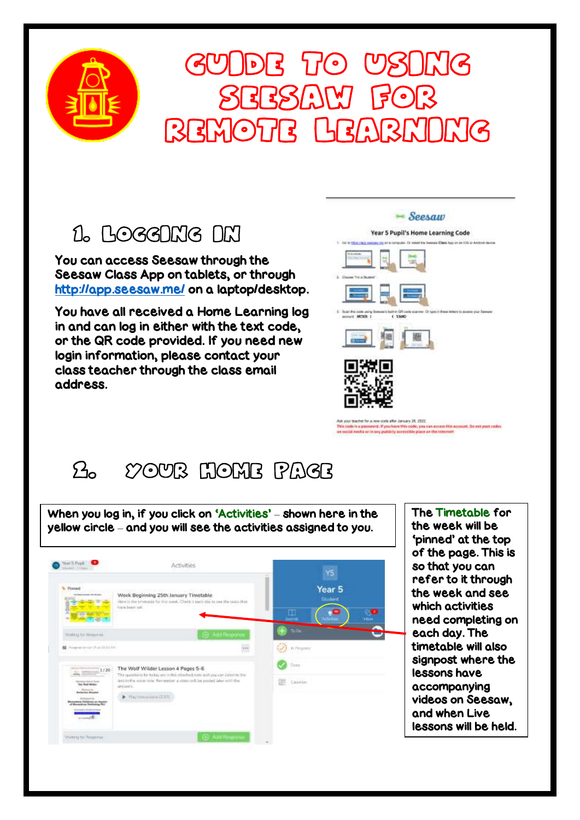

# GUIDE TO USING seesaw for remote learning

### 1. LOGGING NN

You can access Seesaw through the Seesaw Class App on tablets, or through <http://app.seesaw.me/> on a laptop/desktop.

You have all received a Home Learning log in and can log in either with the text code, or the QR code provided. If you need new login information, please contact your class teacher through the class email address.



## 2. Your Home Page

When you log in, if you click on 'Activities' – shown here in the yellow circle – and you will see the activities assigned to you.



The Timetable for the week will be 'pinned' at the top of the page. This is so that you can refer to it through the week and see which activities need completing on each day. The timetable will also signpost where the lessons have accompanying videos on Seesaw, and when Live lessons will be held.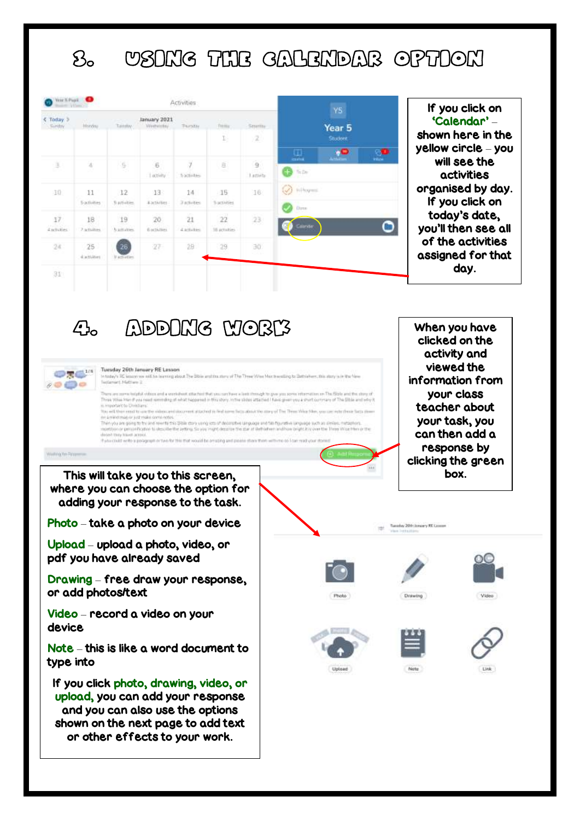### 3. Using the calendar option

| Vese X Pigel                        |                                 |                         |                            | Activities           |                      |                          | YS.                                                            |                      | If you click on                                          |
|-------------------------------------|---------------------------------|-------------------------|----------------------------|----------------------|----------------------|--------------------------|----------------------------------------------------------------|----------------------|----------------------------------------------------------|
| Today <sub>2</sub><br><b>Sünday</b> | <b>Audit</b><br><b>Hinrity.</b> | Tuesday.                | January 2021<br>Viramentau | Tiamatau             | Titola<br>다          | Smiths<br>$\mathbb{Z}$   | Year <sub>5</sub><br>Student                                   |                      | 'Calendar' -<br>shown here in the                        |
| $\exists$                           | w                               | $\overline{5}$          | 6<br>Lactivity             | 5 activities         | $\frac{1}{2}$        | $\overline{9}$<br>Lamite | .0<br>ω<br>Activities<br><b>STATIST</b><br>$\mathbf{B}$ in the | 80<br><b>Village</b> | yellow circle - you<br>will see the<br><b>activities</b> |
| 10                                  | 11<br>Sactivities               | 12<br>fi attivities.    | 13<br><b>ADCINITIES</b>    | 1.4<br>3 activities. | -16<br>'5 activities | 16                       | (V) Infrases<br>Dirtm                                          |                      | organised by day.<br>If you click on                     |
| 17<br>distinted                     | 18<br>7.activities              | 19<br><b>Nautisties</b> | 20<br>6 octivities         | 21<br>4 activities   | 22<br>16 actualies.  | 23                       | Calandar                                                       | ◔                    | today's date,<br>you'll then see all                     |
| 24                                  | 25<br>ductioner                 | 26<br><b>Vatheties</b>  | 27                         | 28                   | 29                   | 30                       |                                                                |                      | of the activities<br>assigned for that                   |
| 31                                  |                                 |                         |                            |                      |                      |                          |                                                                |                      | day.                                                     |

4. ADDING WORK



Tuesday 26th January RE Lesson<br>In this Prince Was the Discount of The Theat West Harboritz to Detroiter, the days in the New<br>Testernet, Hatton: 2

.<br>Then we meet trade it when and a worldwit situated that you can been also dough to gow you seem offered on the fille and the strep of<br>These Whis Man it was most seeming of what hispanish in this stay, in the sides attain You will then need to use the intercurrit document attached to find come facts about the stany of The Three Woo Man, you can index from their this no a reicotiveza de lost moles comé notas me meaning or set mass series and this SNM dary useg ion of decreates useguage and fan hyundiek ampage such as desies, met<br>Interlyin or perspektiviter to describe the arting. So you mant decorate the star at Behinhem and h and how bright it is over the Three Wise Hern or the

detect they travel across.<br>If you could write a persigraph or two for this that would be omating and o

 $\overline{\phantom{0}}$ 

Weinig for Pala

This will take you to this screen, box. where you can choose the option for adding your response to the task.

Photo – take a photo on your device

Upload – upload a photo, video, or pdf you have already saved

Drawing – free draw your response, or add photos/text

Video – record a video on your device

Note – this is like a word document to type into

If you click photo, drawing, video, or upload, you can add your response and you can also use the options shown on the next page to add text or other effects to your work.

When you have clicked on the activity and viewed the information from your class teacher about your task, you can then add a response by clicking the green









Tuesday 200 (Angery RE Leaser

Drawing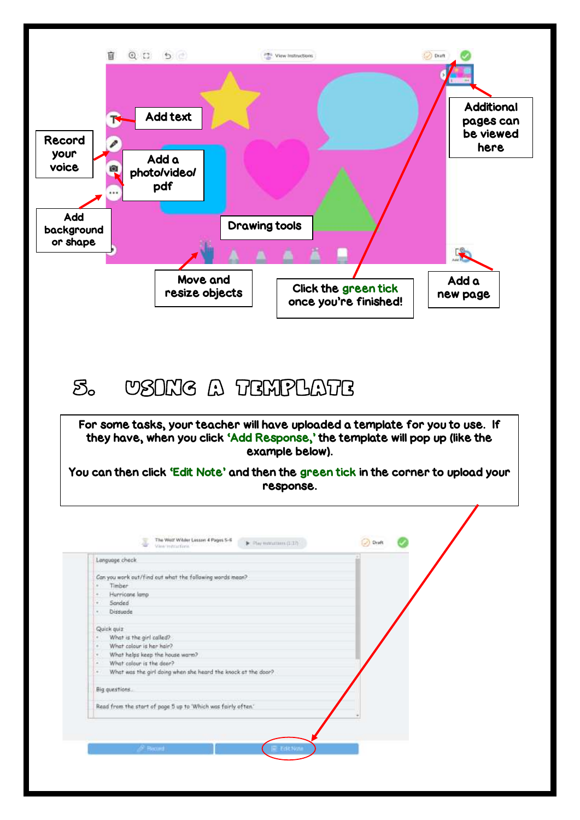

### 5. Using a template

For some tasks, your teacher will have uploaded a template for you to use. If they have, when you click 'Add Response,' the template will pop up (like the example below).

You can then click 'Edit Note' and then the green tick in the corner to upload your response.

|        | Language check                                                |  |
|--------|---------------------------------------------------------------|--|
|        | Can you work out/find out what the following words mean?      |  |
|        | Timber                                                        |  |
| ×      | Hurricane lamp                                                |  |
| ×      | Sanded                                                        |  |
| $\sim$ | Dissuade                                                      |  |
|        | Quick quiz                                                    |  |
|        | What is the girl called?                                      |  |
| ×      | What colour is her hair?                                      |  |
| ×      | What helps keep the house warm?                               |  |
| ×      | What calour is the door?                                      |  |
| ×      | What was the girl doing when she heard the knock at the door? |  |
|        | Big questions.                                                |  |
|        | Read from the start of page 5 up to 'Which was fairly often.' |  |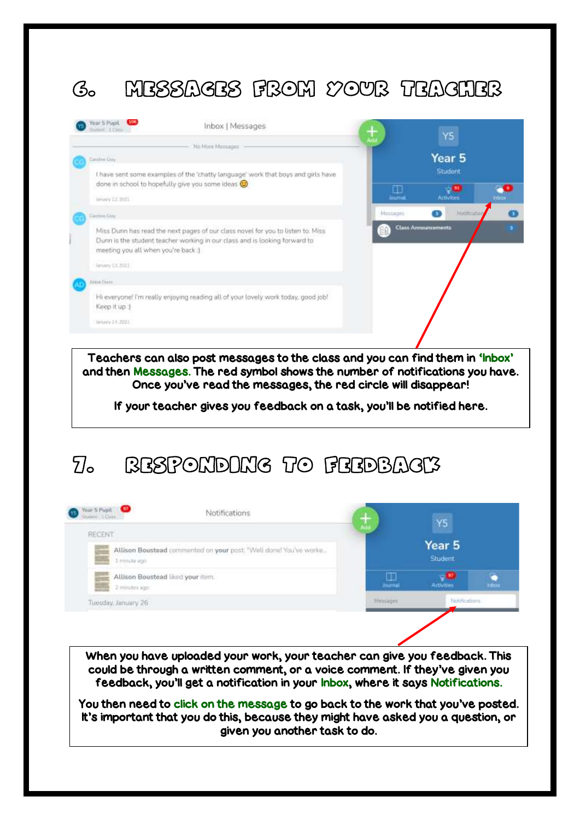# 6. Messages from your teacher



Teachers can also post messages to the class and you can find them in 'Inbox' and then Messages. The red symbol shows the number of notifications you have. Once you've read the messages, the red circle will disappear!

If your teacher gives you feedback on a task, you'll be notified here.

### 7. Responding to feedback



When you have uploaded your work, your teacher can give you feedback. This could be through a written comment, or a voice comment. If they've given you feedback, you'll get a notification in your Inbox, where it says Notifications.

You then need to click on the message to go back to the work that you've posted. It's important that you do this, because they might have asked you a question, or given you another task to do.